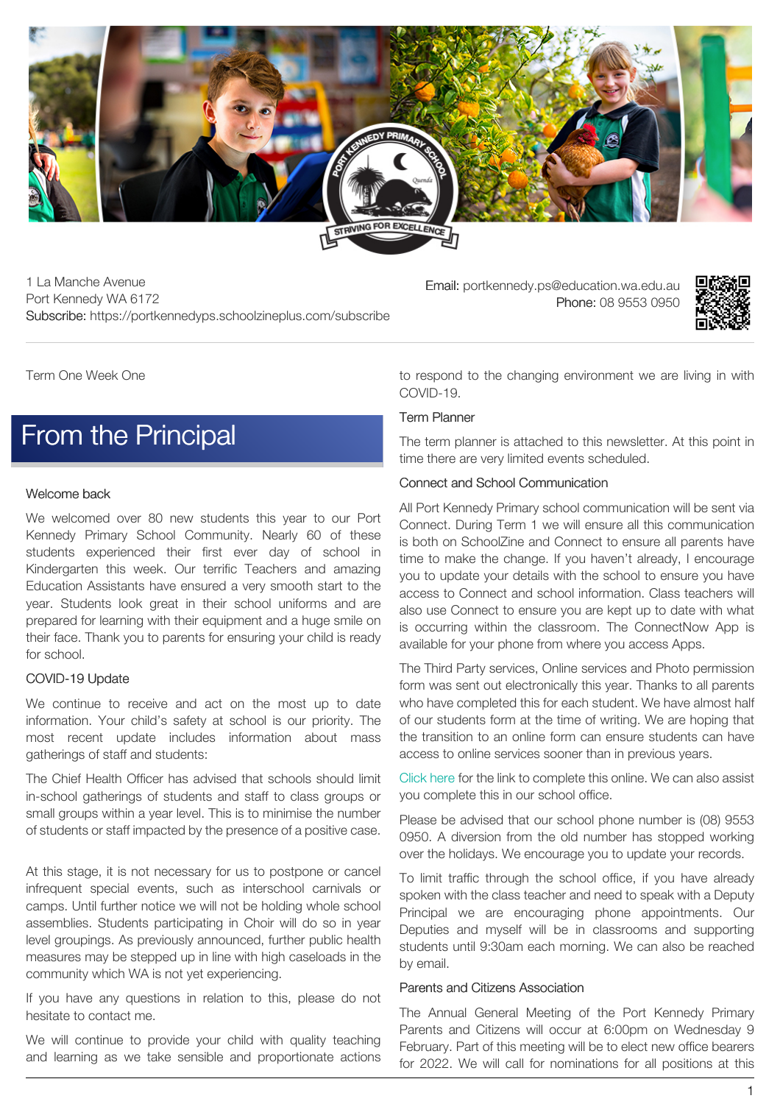

1 La Manche Avenue Port Kennedy WA 6172 Subscribe: https://portkennedyps.schoolzineplus.com/subscribe

Email: portkennedy.ps@education.wa.edu.au Phone: 08 9553 0950



Term One Week One

### [From the Principal](https://portkennedyps.schoolzineplus.com/newsletter/article/382?skin=1)

### Welcome back

We welcomed over 80 new students this year to our Port Kennedy Primary School Community. Nearly 60 of these students experienced their first ever day of school in Kindergarten this week. Our terrific Teachers and amazing Education Assistants have ensured a very smooth start to the year. Students look great in their school uniforms and are prepared for learning with their equipment and a huge smile on their face. Thank you to parents for ensuring your child is ready for school.

#### COVID-19 Update

We continue to receive and act on the most up to date information. Your child's safety at school is our priority. The most recent update includes information about mass gatherings of staff and students:

The Chief Health Officer has advised that schools should limit in-school gatherings of students and staff to class groups or small groups within a year level. This is to minimise the number of students or staff impacted by the presence of a positive case.

At this stage, it is not necessary for us to postpone or cancel infrequent special events, such as interschool carnivals or camps. Until further notice we will not be holding whole school assemblies. Students participating in Choir will do so in year level groupings. As previously announced, further public health measures may be stepped up in line with high caseloads in the community which WA is not yet experiencing.

If you have any questions in relation to this, please do not hesitate to contact me.

We will continue to provide your child with quality teaching and learning as we take sensible and proportionate actions to respond to the changing environment we are living in with COVID-19.

### Term Planner

The term planner is attached to this newsletter. At this point in time there are very limited events scheduled.

### Connect and School Communication

All Port Kennedy Primary school communication will be sent via Connect. During Term 1 we will ensure all this communication is both on SchoolZine and Connect to ensure all parents have time to make the change. If you haven't already, I encourage you to update your details with the school to ensure you have access to Connect and school information. Class teachers will also use Connect to ensure you are kept up to date with what is occurring within the classroom. The ConnectNow App is available for your phone from where you access Apps.

The Third Party services, Online services and Photo permission form was sent out electronically this year. Thanks to all parents who have completed this for each student. We have almost half of our students form at the time of writing. We are hoping that the transition to an online form can ensure students can have access to online services sooner than in previous years.

[Click](https://aus01.safelinks.protection.outlook.com/?url=https%3A%2F%2Fforms.office.com%2FPages%2FResponsePage.aspx%3Fid%3D-RaA4P3Ru0yDsLdutDYWJyb6CMrOThVNih4kyA5b5O1UOVBWQkxKUDExWkFOOUZCM1RRR00yOTVMRC4u&data=04%7C01%7Cmarie.foster%40education.wa.edu.au%7Cb735d510807f44dcbf6b08d9e785f1b6%7Ce08016f9d1fd4cbb83b0b76eb4361627%7C0%7C0%7C637795384729863615%7CUnknown%7CTWFpbGZsb3d8eyJWIjoiMC4wLjAwMDAiLCJQIjoiV2luMzIiLCJBTiI6Ik1haWwiLCJXVCI6Mn0%3D%7C3000&sdata=mG0Kq3FgR9ihZpgpokv4YOQNOL7XSWFCce1T8HS1ogA%3D&reserved=0) here for the link to complete this online. We can also assist you complete this in our school office.

Please be advised that our school phone number is (08) 9553 0950. A diversion from the old number has stopped working over the holidays. We encourage you to update your records.

To limit traffic through the school office, if you have already spoken with the class teacher and need to speak with a Deputy Principal we are encouraging phone appointments. Our Deputies and myself will be in classrooms and supporting students until 9:30am each morning. We can also be reached by email.

#### Parents and Citizens Association

The Annual General Meeting of the Port Kennedy Primary Parents and Citizens will occur at 6:00pm on Wednesday 9 February. Part of this meeting will be to elect new office bearers for 2022. We will call for nominations for all positions at this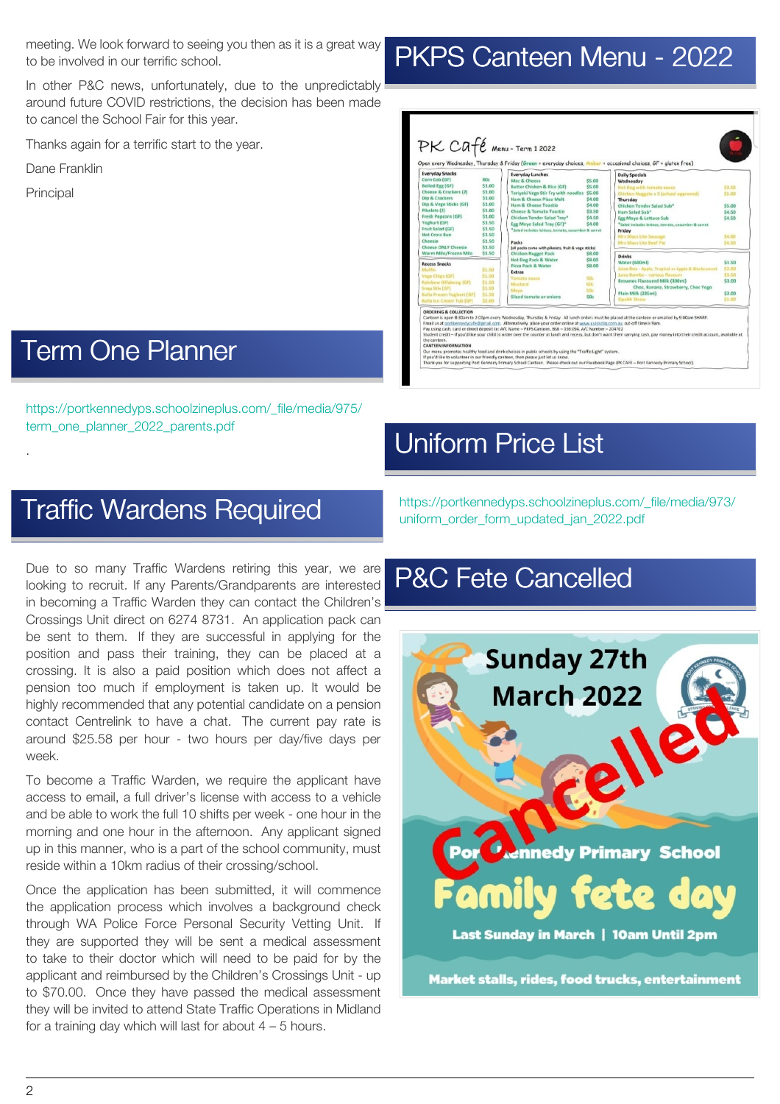meeting. We look forward to seeing you then as it is a great way to be involved in our terrific school.

In other P&C news, unfortunately, due to the unpredictably around future COVID restrictions, the decision has been made to cancel the School Fair for this year.

Thanks again for a terrific start to the year.

Dane Franklin

Principal

.

### [Term One Planner](https://portkennedyps.schoolzineplus.com/newsletter/article/385?skin=1)

[https://portkennedyps.schoolzineplus.com/\\_file/media/975/](https://portkennedyps.schoolzineplus.com/_file/media/975/term_one_planner_2022_parents.pdf) term\_one\_planner\_2022\_parents.pdf

### [Traffic Wardens Required](https://portkennedyps.schoolzineplus.com/newsletter/article/383?skin=1)

Due to so many Traffic Wardens retiring this year, we are looking to recruit. If any Parents/Grandparents are interested in becoming a Traffic Warden they can contact the Children's Crossings Unit direct on 6274 8731. An application pack can be sent to them. If they are successful in applying for the position and pass their training, they can be placed at a crossing. It is also a paid position which does not affect a pension too much if employment is taken up. It would be highly recommended that any potential candidate on a pension contact Centrelink to have a chat. The current pay rate is around \$25.58 per hour - two hours per day/five days per week.

To become a Traffic Warden, we require the applicant have access to email, a full driver's license with access to a vehicle and be able to work the full 10 shifts per week - one hour in the morning and one hour in the afternoon. Any applicant signed up in this manner, who is a part of the school community, must reside within a 10km radius of their crossing/school.

Once the application has been submitted, it will commence the application process which involves a background check through WA Police Force Personal Security Vetting Unit. If they are supported they will be sent a medical assessment to take to their doctor which will need to be paid for by the applicant and reimbursed by the Children's Crossings Unit - up to \$70.00. Once they have passed the medical assessment they will be invited to attend State Traffic Operations in Midland for a training day which will last for about  $4 - 5$  hours.

# [PKPS Canteen Menu - 2022](https://portkennedyps.schoolzineplus.com/newsletter/article/380?skin=1)

| <b>ROC</b><br>\$1.00<br>\$1.00 | <b>Everyday Lunches</b><br><b>Daily Specials</b><br>Mac & Cheese<br>\$5.00<br>Wednesday<br>Butter Chicken & Rice (GF)<br>\$5.00 |                                                                                                                                                                                                                                      |
|--------------------------------|---------------------------------------------------------------------------------------------------------------------------------|--------------------------------------------------------------------------------------------------------------------------------------------------------------------------------------------------------------------------------------|
|                                |                                                                                                                                 |                                                                                                                                                                                                                                      |
|                                |                                                                                                                                 | Hot Dog with tomato sauce<br>\$3.50                                                                                                                                                                                                  |
|                                | Teriyaki Vege Stir Fry with noodles \$5.00                                                                                      | Chicken Nuggets x 5 (school approved)<br>\$5.00                                                                                                                                                                                      |
| \$1.00                         | Ham & Cheese Pizza Melt<br>\$4.00<br><b>Thursday</b>                                                                            |                                                                                                                                                                                                                                      |
| \$1.00                         | Ham & Cheese Toastie<br>54.00                                                                                                   | Chicken Tender Salad Sub*<br>\$5.00                                                                                                                                                                                                  |
| \$1.00                         | Cheese & Tomato Toastie<br>\$3.50<br>Ham Salad Sub*                                                                             | \$4.50                                                                                                                                                                                                                               |
| \$1.00                         | Chicken Tender Salad Tray*<br>\$4.50                                                                                            | \$4.50<br>Egg Mayo & Lettuce Sub                                                                                                                                                                                                     |
| \$1.50                         | Egg Mayo Salad Tray (GF)*<br>\$4.00                                                                                             | *Salad includes lettuce, tomato, cucumber & carrot                                                                                                                                                                                   |
|                                | *Salad includes lettuce, tomato, cucumber & carrot<br>Friday                                                                    |                                                                                                                                                                                                                                      |
| \$1.50                         | Mrs Macs Lite Sausage                                                                                                           | \$4.00                                                                                                                                                                                                                               |
|                                | Packs<br>Mrs Macs Lite Beef Pie                                                                                                 | \$4.50                                                                                                                                                                                                                               |
|                                | (all packs come with pikelets, fruit & vege sticks)                                                                             |                                                                                                                                                                                                                                      |
|                                | <b>Drinks</b>                                                                                                                   |                                                                                                                                                                                                                                      |
|                                | Water (600ml)                                                                                                                   | \$1.50                                                                                                                                                                                                                               |
| \$1.50                         |                                                                                                                                 | Juice Box - Apple, Tropical or Apple & Blackcurrant<br>\$2.00                                                                                                                                                                        |
|                                |                                                                                                                                 | Juice Bombs - various flavours<br>\$3.50                                                                                                                                                                                             |
| \$1.50                         |                                                                                                                                 | Brownes Flavoured Milk (300ml)<br>\$3.00                                                                                                                                                                                             |
| \$1.50                         |                                                                                                                                 | Choc, Banana, Strawberry, Choc Yogo                                                                                                                                                                                                  |
| \$1.50                         | Plain Milk (225ml)                                                                                                              | \$2.00                                                                                                                                                                                                                               |
| \$2.00                         | Sipahh Straw                                                                                                                    | \$1.00                                                                                                                                                                                                                               |
|                                | \$1.50<br>\$1.50<br>\$1.50<br>\$1.50<br>\$1.50                                                                                  | <b>Chicken Nugget Pack</b><br>\$8.00<br>\$8.00<br><b>Hot Dog Pack &amp; Water</b><br>Pizza Pack & Water<br>\$8.00<br><b>Extras</b><br><b>Tomato sauce</b><br>S0c.<br>Mustard<br>50c<br>Mayo<br>50c<br>Sliced tomato or onions<br>50c |

## [Uniform Price List](https://portkennedyps.schoolzineplus.com/newsletter/article/384?skin=1)

[https://portkennedyps.schoolzineplus.com/\\_file/media/973/](https://portkennedyps.schoolzineplus.com/_file/media/973/uniform_order_form_updated_jan_2022.pdf) uniform\_order\_form\_updated\_jan\_2022.pdf

### [P&C Fete Cancelled](https://portkennedyps.schoolzineplus.com/newsletter/article/381?skin=1)